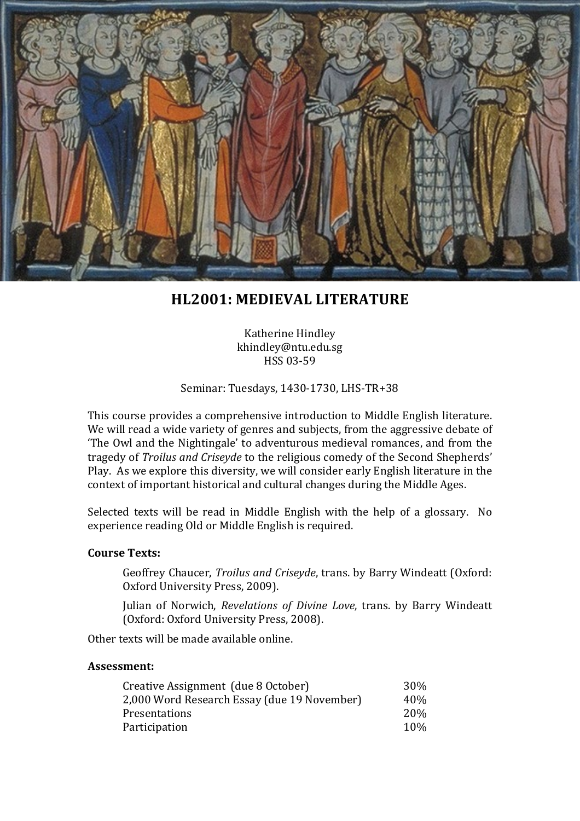

# **HL2001: MEDIEVAL LITERATURE**

Katherine Hindley khindley@ntu.edu.sg HSS 03-59

#### Seminar: Tuesdays, 1430-1730, LHS-TR+38

This course provides a comprehensive introduction to Middle English literature. We will read a wide variety of genres and subjects, from the aggressive debate of 'The Owl and the Nightingale' to adventurous medieval romances, and from the tragedy of *Troilus and Criseyde* to the religious comedy of the Second Shepherds' Play. As we explore this diversity, we will consider early English literature in the context of important historical and cultural changes during the Middle Ages.

Selected texts will be read in Middle English with the help of a glossary. No experience reading Old or Middle English is required.

#### **Course Texts:**

Geoffrey Chaucer, *Troilus and Criseyde*, trans. by Barry Windeatt (Oxford: Oxford University Press, 2009).

Julian of Norwich, *Revelations of Divine Love*, trans. by Barry Windeatt (Oxford: Oxford University Press, 2008).

Other texts will be made available online.

#### **Assessment:**

| Creative Assignment (due 8 October)         | 30%        |
|---------------------------------------------|------------|
| 2,000 Word Research Essay (due 19 November) | 40%        |
| Presentations                               | <b>20%</b> |
| Participation                               | 10%        |
|                                             |            |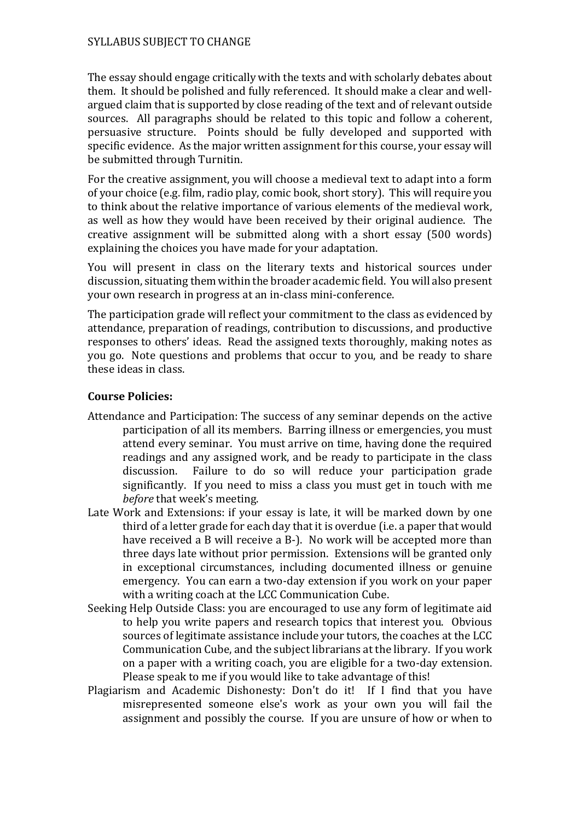### SYLLABUS SUBJECT TO CHANGE

The essay should engage critically with the texts and with scholarly debates about them. It should be polished and fully referenced. It should make a clear and wellargued claim that is supported by close reading of the text and of relevant outside sources. All paragraphs should be related to this topic and follow a coherent, persuasive structure. Points should be fully developed and supported with specific evidence. As the major written assignment for this course, your essay will be submitted through Turnitin.

For the creative assignment, you will choose a medieval text to adapt into a form of your choice (e.g. film, radio play, comic book, short story). This will require you to think about the relative importance of various elements of the medieval work, as well as how they would have been received by their original audience. The creative assignment will be submitted along with a short essay (500 words) explaining the choices you have made for your adaptation.

You will present in class on the literary texts and historical sources under discussion, situating them within the broader academic field. You will also present your own research in progress at an in-class mini-conference.

The participation grade will reflect your commitment to the class as evidenced by attendance, preparation of readings, contribution to discussions, and productive responses to others' ideas. Read the assigned texts thoroughly, making notes as you go. Note questions and problems that occur to you, and be ready to share these ideas in class.

### **Course Policies:**

- Attendance and Participation: The success of any seminar depends on the active participation of all its members. Barring illness or emergencies, you must attend every seminar. You must arrive on time, having done the required readings and any assigned work, and be ready to participate in the class discussion. Failure to do so will reduce your participation grade Failure to do so will reduce your participation grade significantly. If you need to miss a class you must get in touch with me *before* that week's meeting.
- Late Work and Extensions: if your essay is late, it will be marked down by one third of a letter grade for each day that it is overdue (i.e. a paper that would have received a B will receive a B-). No work will be accepted more than three days late without prior permission. Extensions will be granted only in exceptional circumstances, including documented illness or genuine emergency. You can earn a two-day extension if you work on your paper with a writing coach at the LCC Communication Cube.
- Seeking Help Outside Class: you are encouraged to use any form of legitimate aid to help you write papers and research topics that interest you. Obvious sources of legitimate assistance include your tutors, the coaches at the LCC Communication Cube, and the subject librarians at the library. If you work on a paper with a writing coach, you are eligible for a two-day extension. Please speak to me if you would like to take advantage of this!
- Plagiarism and Academic Dishonesty: Don't do it! If I find that you have misrepresented someone else's work as your own you will fail the assignment and possibly the course. If you are unsure of how or when to